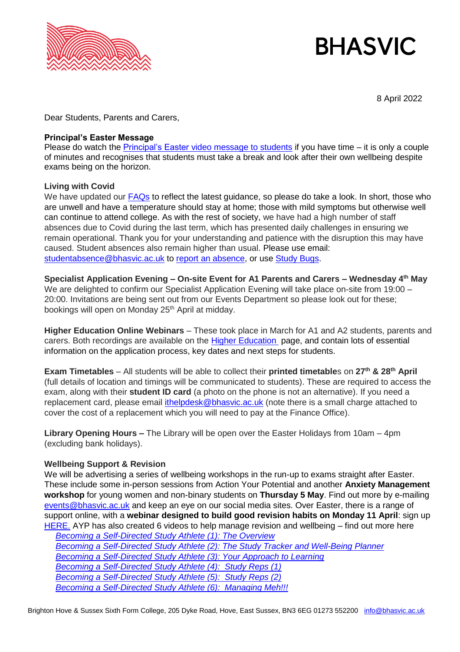

# **BHASVIC**

8 April 2022

Dear Students, Parents and Carers,

#### **Principal's Easter Message**

Please do watch the [Principal's Easter video message to students](https://vimeo.com/696134117/769331f12d) if you have time – it is only a couple of minutes and recognises that students must take a break and look after their own wellbeing despite exams being on the horizon.

### **Living with Covid**

We have updated our [FAQs](https://www.bhasvic.ac.uk/faqs) to reflect the latest guidance, so please do take a look. In short, those who are unwell and have a temperature should stay at home; those with mild symptoms but otherwise well can continue to attend college. As with the rest of society, we have had a high number of staff absences due to Covid during the last term, which has presented daily challenges in ensuring we remain operational. Thank you for your understanding and patience with the disruption this may have caused. Student absences also remain higher than usual. Please use email: [studentabsence@bhasvic.ac.uk](mailto:studentabsence@bhasvic.ac.uk) to [report an absence,](https://www.bhasvic.ac.uk/parents-carers-dashboard/attendance-and-absence) or use [Study Bugs.](https://studybugs.com/about/parents)

**Specialist Application Evening – On-site Event for A1 Parents and Carers – Wednesday 4th May** We are delighted to confirm our Specialist Application Evening will take place on-site from 19:00 -20:00. Invitations are being sent out from our Events Department so please look out for these; bookings will open on Monday 25<sup>th</sup> April at midday.

**Higher Education Online Webinars** – These took place in March for A1 and A2 students, parents and carers. Both recordings are available on the [Higher Education](https://www.bhasvic.ac.uk/parents-carers-dashboard/higher-education) page, and contain lots of essential information on the application process, key dates and next steps for students.

**Exam Timetables** – All students will be able to collect their **printed timetable**s on **27th & 28th April**  (full details of location and timings will be communicated to students). These are required to access the exam, along with their **student ID card** (a photo on the phone is not an alternative). If you need a replacement card, please email [ithelpdesk@bhasvic.ac.uk](mailto:ithelpdesk@bhasvic.ac.uk) (note there is a small charge attached to cover the cost of a replacement which you will need to pay at the Finance Office).

**Library Opening Hours –** The Library will be open over the Easter Holidays from 10am – 4pm (excluding bank holidays).

## **Wellbeing Support & Revision**

We will be advertising a series of wellbeing workshops in the run-up to exams straight after Easter. These include some in-person sessions from Action Your Potential and another **Anxiety Management workshop** for young women and non-binary students on **Thursday 5 May**. Find out more by e-mailing [events@bhasvic.ac.uk](mailto:events@bhasvic.ac.uk) and keep an eye on our social media sites. Over Easter, there is a range of support online, with a **webinar designed to build good revision habits on Monday 11 April**: sign up [HERE.](https://us02web.zoom.us/webinar/register/WN_5_CeX0WZTtujWFSqt5OoMQ) AYP has also created 6 videos to help manage revision and wellbeing – find out more here

*[Becoming a Self-Directed Study Athlete \(1\): The Overview](https://drive.google.com/file/d/1Su6CWKUzRGpyMuG4dsMhDroz9yRxDdQV/view?usp=sharing) [Becoming a Self-Directed Study Athlete \(2\): The Study Tracker and Well-Being Planner](https://drive.google.com/file/d/11IEoQL1OGzLEg7d2pOml2exjxCWrjtwi/view?usp=sharing) [Becoming a Self-Directed Study Athlete \(3\): Your Approach to Learning](https://drive.google.com/file/d/1FkX0vsCVw_GYpt0CTAWgKOguEg-xJx3k/view?usp=sharing) [Becoming a Self-Directed Study Athlete \(4\): Study Reps \(1\)](https://drive.google.com/file/d/14NC9cQ1C0u1yhFiGKrrqhwPw1Za5LIta/view?usp=sharing) [Becoming a Self-Directed Study Athlete \(5\): Study Reps \(2\)](https://drive.google.com/file/d/1ewCaieWceeH7CTF6SSf4dLLgHR-qUK5i/view?usp=sharing) [Becoming a Self-Directed Study Athlete \(6\): Managing Meh!!!](https://drive.google.com/file/d/1NjShwYc2k_dkKSDAamdxUMMNfryeOLCY/view?usp=sharing)*